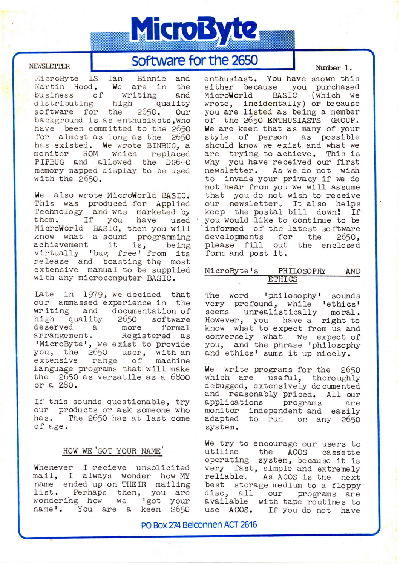# MicroByte

#### **NEWSLETTER**

# Software for the 2650

MicroByte IS Ian Binnie and Martin Hood. We are in the writing business of and distributing high quality software for the 2650. Our background is as enthusiasts, who have been committed to the 2650 for almost as long as the 2650 has existed. We wrote BINBUG, a monitor ROM which replaced PIPBUG and allowed the DG640 memory mapped display to be used with the 2650.

We also wrote MicroWorld BASIC. This was produced for Applied Technology and was marketed by If you have used them. MicroWorld BASIC, then you will know what a sound programming achievement it is, being<br>virtually 'bug free' from its release and boasting the most extensive manual to be supplied with any microcomputer BASIC.

Late in 1979, we decided that our ammassed experience in the writing and documentation of high quality 2650 software deserved a more formal<br>arrangement. Registered as 'MicroByte', we exist to provide you, the 2650 user, with an extensive range of machine language programs that will make the 2650 as versatile as a 6800 or a Z80.

If this sounds questionable, try our products or ask someone who The 2650 has at last come has. of age.

# HOW WE GOT YOUR NAME'

Whenever I recieve unsolicited mail, I always wonder how MY name ended up on THEIR mailing list. Perhaps then, you are wondering how we 'got your<br>name'. You are a keen 2650 Number 1.

enthusiast. You have shown this either because you purchased MicroWorld BASIC (which we wrote, incidentally) or because you are listed as being a member of the 2650 ENTHUSIASTS GROUP. We are keen that as many of your style of person as possible should know we exist and what we are trying to achieve. This is why you have received our first newsletter. As we do not wish to invade your privacy if we do not hear from you we will assume that you do not wish to receive our newsletter. It also helps keep the postal bill down! If you would like to continue to be informed of the latest software developments for the  $2650.$ please fill out the enclosed form and post it.

| MicroByte's | PHILOSOPHY    | AND |
|-------------|---------------|-----|
|             | <b>ETHICS</b> |     |

The word 'philosophy' sounds very profound, while 'ethics' seems unrealistically moral. However, you have a right to know what to expect from us and conversely what we expect of you, and the phrase 'philosophy and ethics' sums it up nicely.

We write programs for the 2650 which are useful, thoroughly debugged, extensively documented and reasonably priced. All our applications programs are monitor independent and easily<br>adapted to run on any 2650 system.

We try to encourage our users to utilise the ACOS cassette operating system, because it is very fast, simple and extremely reliable. As ACOS is the next best storage medium to a floppy disc, all our programs are available with tape routines to use ACOS. If you do not have

PO Box 274 Belconnen ACT 2616